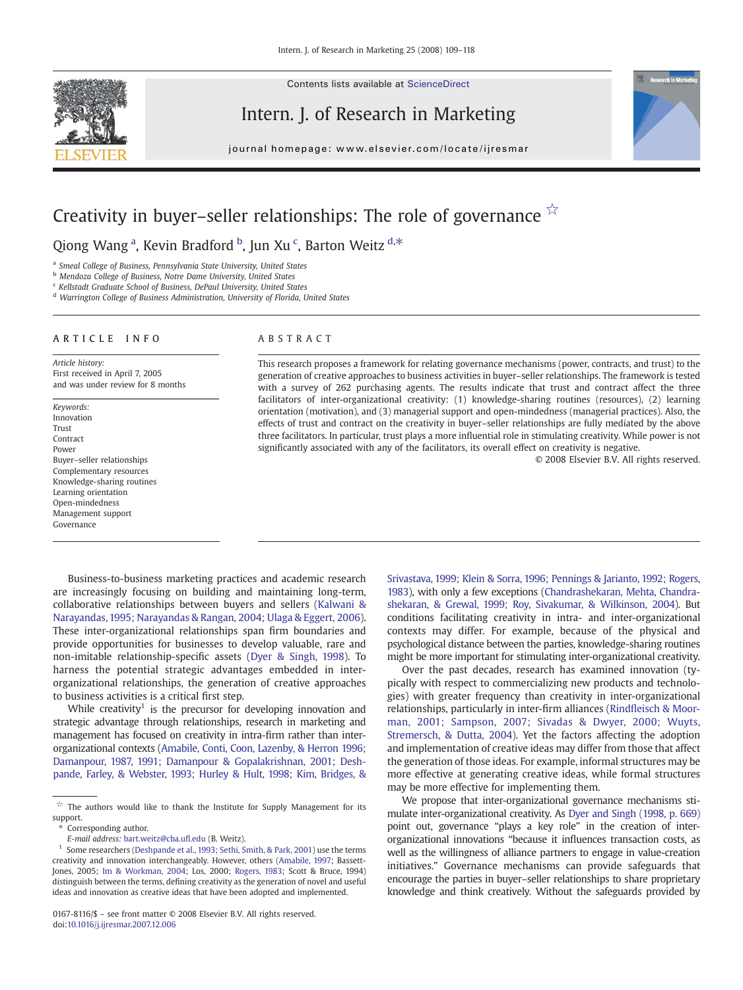

Contents lists available at ScienceDirect

## Intern. J. of Research in Marketing



journal homepage: www.elsevier.com/locate/ijresmar

# Creativity in buyer–seller relationships: The role of governance  $\hat{X}$

Qiong Wang <sup>a</sup>, Kevin Bradford <sup>b</sup>, Jun Xu <sup>c</sup>, Barton Weitz <sup>d,\*</sup>

<sup>a</sup> Smeal College of Business, Pennsylvania State University, United States

b Mendoza College of Business, Notre Dame University, United States

<sup>c</sup> Kellstadt Graduate School of Business, DePaul University, United States

<sup>d</sup> Warrington College of Business Administration, University of Florida, United States

### ARTICLE INFO ABSTRACT

Article history: First received in April 7, 2005 and was under review for 8 months

Keywords: Innovation Trust Contract Power Buyer–seller relationships Complementary resources Knowledge-sharing routines Learning orientation Open-mindedness Management support Governance

This research proposes a framework for relating governance mechanisms (power, contracts, and trust) to the generation of creative approaches to business activities in buyer–seller relationships. The framework is tested with a survey of 262 purchasing agents. The results indicate that trust and contract affect the three facilitators of inter-organizational creativity: (1) knowledge-sharing routines (resources), (2) learning orientation (motivation), and (3) managerial support and open-mindedness (managerial practices). Also, the effects of trust and contract on the creativity in buyer–seller relationships are fully mediated by the above three facilitators. In particular, trust plays a more influential role in stimulating creativity. While power is not significantly associated with any of the facilitators, its overall effect on creativity is negative.

© 2008 Elsevier B.V. All rights reserved.

Business-to-business marketing practices and academic research are increasingly focusing on building and maintaining long-term, collaborative relationships between buyers and sellers ([Kalwani &](#page--1-0) [Narayandas, 1995; Narayandas & Rangan, 2004; Ulaga & Eggert, 2006\)](#page--1-0). These inter-organizational relationships span firm boundaries and provide opportunities for businesses to develop valuable, rare and non-imitable relationship-specific assets ([Dyer & Singh, 1998](#page--1-0)). To harness the potential strategic advantages embedded in interorganizational relationships, the generation of creative approaches to business activities is a critical first step.

While creativity<sup>1</sup> is the precursor for developing innovation and strategic advantage through relationships, research in marketing and management has focused on creativity in intra-firm rather than interorganizational contexts [\(Amabile, Conti, Coon, Lazenby, & Herron 1996;](#page--1-0) [Damanpour, 1987, 1991; Damanpour & Gopalakrishnan, 2001; Desh](#page--1-0)[pande, Farley, & Webster, 1993; Hurley & Hult, 1998; Kim, Bridges, &](#page--1-0)

E-mail address: [bart.weitz@cba.u](mailto:bart.weitz@cba.ufl.edu)fl.edu (B. Weitz).

0167-8116/\$ – see front matter © 2008 Elsevier B.V. All rights reserved. doi:[10.1016/j.ijresmar.2007.12.006](http://dx.doi.org/10.1016/j.ijresmar.2007.12.006)

[Srivastava, 1999; Klein & Sorra, 1996; Pennings & Jarianto, 1992; Rogers,](#page--1-0) [1983\)](#page--1-0), with only a few exceptions ([Chandrashekaran, Mehta, Chandra](#page--1-0)[shekaran, & Grewal, 1999; Roy, Sivakumar, & Wilkinson, 2004\)](#page--1-0). But conditions facilitating creativity in intra- and inter-organizational contexts may differ. For example, because of the physical and psychological distance between the parties, knowledge-sharing routines might be more important for stimulating inter-organizational creativity.

Over the past decades, research has examined innovation (typically with respect to commercializing new products and technologies) with greater frequency than creativity in inter-organizational relationships, particularly in inter-firm alliances (Rindfl[eisch & Moor](#page--1-0)[man, 2001; Sampson, 2007; Sivadas & Dwyer, 2000; Wuyts,](#page--1-0) [Stremersch, & Dutta, 2004\)](#page--1-0). Yet the factors affecting the adoption and implementation of creative ideas may differ from those that affect the generation of those ideas. For example, informal structures may be more effective at generating creative ideas, while formal structures may be more effective for implementing them.

We propose that inter-organizational governance mechanisms stimulate inter-organizational creativity. As [Dyer and Singh \(1998, p. 669\)](#page--1-0) point out, governance "plays a key role" in the creation of interorganizational innovations "because it influences transaction costs, as well as the willingness of alliance partners to engage in value-creation initiatives." Governance mechanisms can provide safeguards that encourage the parties in buyer–seller relationships to share proprietary knowledge and think creatively. Without the safeguards provided by

 $\overrightarrow{r}$  The authors would like to thank the Institute for Supply Management for its support.

Corresponding author.

<sup>&</sup>lt;sup>1</sup> Some researchers [\(Deshpande et al., 1993; Sethi, Smith, & Park, 2001\)](#page--1-0) use the terms creativity and innovation interchangeably. However, others ([Amabile, 1997](#page--1-0); Bassett-Jones, 2005; [Im & Workman, 2004;](#page--1-0) Los, 2000; [Rogers, 1983](#page--1-0); Scott & Bruce, 1994) distinguish between the terms, defining creativity as the generation of novel and useful ideas and innovation as creative ideas that have been adopted and implemented.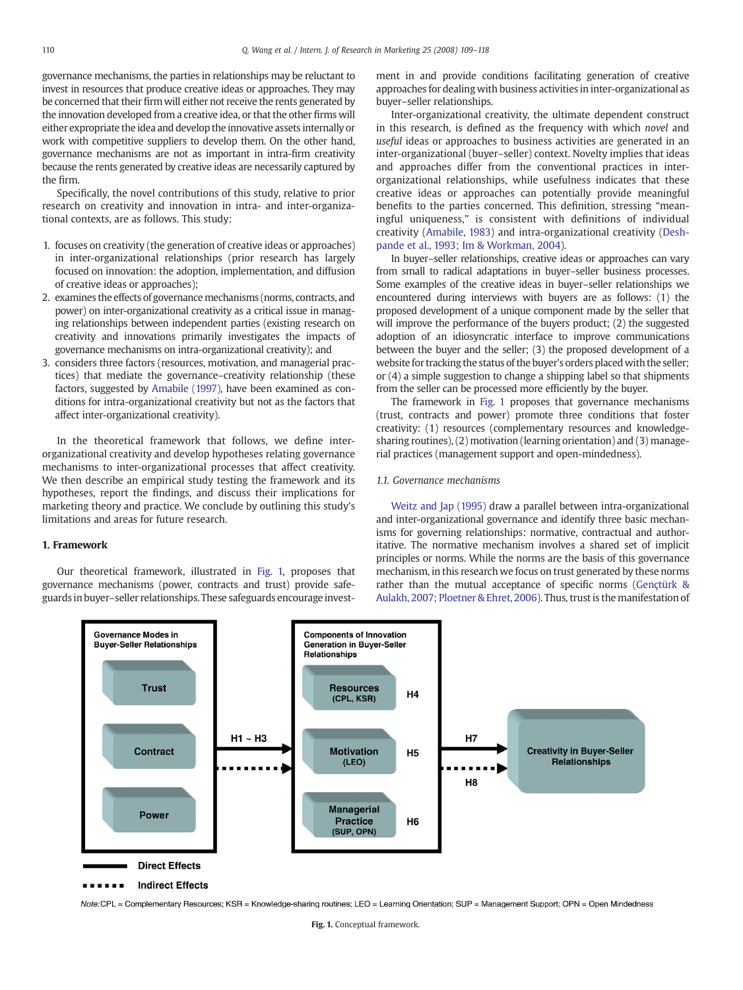governance mechanisms, the parties in relationships may be reluctant to invest in resources that produce creative ideas or approaches. They may be concerned that their firm will either not receive the rents generated by the innovation developed from a creative idea, or that the other firms will either expropriate the idea and develop the innovative assets internally or work with competitive suppliers to develop them. On the other hand, governance mechanisms are not as important in intra-firm creativity because the rents generated by creative ideas are necessarily captured by the firm.

Specifically, the novel contributions of this study, relative to prior research on creativity and innovation in intra- and inter-organizational contexts, are as follows. This study:

- 1. focuses on creativity (the generation of creative ideas or approaches) in inter-organizational relationships (prior research has largely focused on innovation: the adoption, implementation, and diffusion of creative ideas or approaches);
- 2. examines the effects of governance mechanisms (norms, contracts, and power) on inter-organizational creativity as a critical issue in managing relationships between independent parties (existing research on creativity and innovations primarily investigates the impacts of governance mechanisms on intra-organizational creativity); and
- 3. considers three factors (resources, motivation, and managerial practices) that mediate the governance–creativity relationship (these factors, suggested by [Amabile \(1997\),](#page--1-0) have been examined as conditions for intra-organizational creativity but not as the factors that affect inter-organizational creativity).

In the theoretical framework that follows, we define interorganizational creativity and develop hypotheses relating governance mechanisms to inter-organizational processes that affect creativity. We then describe an empirical study testing the framework and its hypotheses, report the findings, and discuss their implications for marketing theory and practice. We conclude by outlining this study's limitations and areas for future research.

### 1. Framework

Our theoretical framework, illustrated in Fig. 1, proposes that governance mechanisms (power, contracts and trust) provide safeguardsin buyer–seller relationships. These safeguards encourage investment in and provide conditions facilitating generation of creative approaches for dealing with business activities in inter-organizational as buyer–seller relationships.

Inter-organizational creativity, the ultimate dependent construct in this research, is defined as the frequency with which novel and useful ideas or approaches to business activities are generated in an inter-organizational (buyer–seller) context. Novelty implies that ideas and approaches differ from the conventional practices in interorganizational relationships, while usefulness indicates that these creative ideas or approaches can potentially provide meaningful benefits to the parties concerned. This definition, stressing "meaningful uniqueness," is consistent with definitions of individual creativity ([Amabile, 1983\)](#page--1-0) and intra-organizational creativity [\(Desh](#page--1-0)[pande et al., 1993; Im & Workman, 2004](#page--1-0)).

In buyer–seller relationships, creative ideas or approaches can vary from small to radical adaptations in buyer–seller business processes. Some examples of the creative ideas in buyer–seller relationships we encountered during interviews with buyers are as follows: (1) the proposed development of a unique component made by the seller that will improve the performance of the buyers product; (2) the suggested adoption of an idiosyncratic interface to improve communications between the buyer and the seller; (3) the proposed development of a website for tracking the status of the buyer's orders placed with the seller; or (4) a simple suggestion to change a shipping label so that shipments from the seller can be processed more efficiently by the buyer.

The framework in Fig. 1 proposes that governance mechanisms (trust, contracts and power) promote three conditions that foster creativity: (1) resources (complementary resources and knowledgesharing routines), (2) motivation (learning orientation) and (3) managerial practices (management support and open-mindedness).

### 1.1. Governance mechanisms

[Weitz and Jap \(1995\)](#page--1-0) draw a parallel between intra-organizational and inter-organizational governance and identify three basic mechanisms for governing relationships: normative, contractual and authoritative. The normative mechanism involves a shared set of implicit principles or norms. While the norms are the basis of this governance mechanism, in this research we focus on trust generated by these norms rather than the mutual acceptance of specific norms [\(Gençtürk &](#page--1-0) [Aulakh, 2007; Ploetner & Ehret, 2006\)](#page--1-0). Thus, trust is the manifestation of



Note: CPL = Complementary Resources; KSR = Knowledge-sharing routines; LEO = Learning Orientation; SUP = Management Support; OPN = Open Mindedness